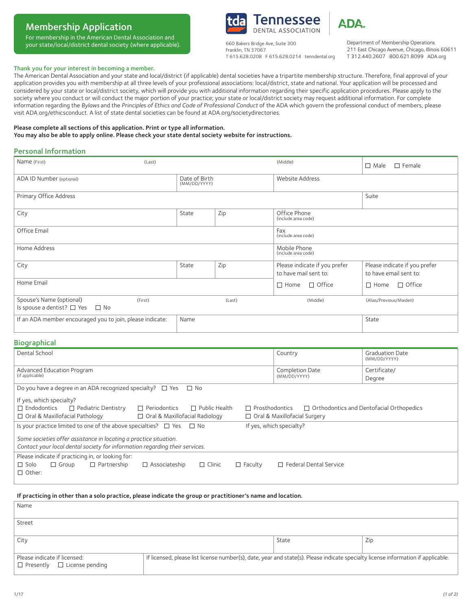# Membership Application

For membership in the American Dental Association and For membership in the American Dental Association and your state/local/district dental society (where applicable). The Same of Department of Membership Operations of Membership Operations



660 Bakers Bridge Ave, Suite 300 Franklin, TN 37067 T 615.628.0208 F 615.628.0214 tenndental.org T 907.563.3003 F 907.563.3009 akdental.org BrunsonM@scda.org • SCDA.org

211 East Chicago A[venue, Ch](http://www.ada.org)icago, Illinois 60611 T 312.440.2607 800.621.8099 ADA.org

**ANA** 

### Thank you for your interest in becoming a member.

The American Dental Association and your state and local/district (if applicable) dental societies have a tripartite membership structure. Therefore, final approval of your application provides you with membership at all three levels of your professional associations: local/district, state and national. Your application will be processed and considered by your state or local/district society, which will provide you with additional information regarding their specific application procedures. Please apply to the society where you conduct or will conduct the major portion of your practice; your state or local/district society may request additional information. For complete information regarding the Bylaws and the Principles of Ethics and Code of Professional Conduct of the ADA which govern the professional conduct of members, please visit ADA.org/ethicsconduct. A list of state dental societies can be found at [ADA.org/societydirectories.](http://www.ada.org/societydirectories)

#### Please complete all sections of this application. Print or type all information. Please complete all sections of this application. Print or type all information. You may also be able to apply online. Please check your state dental society website for instructions.

#### Personal Information

| Personal Information                                                     |         |                               |                              |                                                        |                                                         |  |
|--------------------------------------------------------------------------|---------|-------------------------------|------------------------------|--------------------------------------------------------|---------------------------------------------------------|--|
| Name (First)                                                             | (Last)  |                               |                              | (Middle)<br>$\Box$ Male<br>$\Box$ Female               |                                                         |  |
| ADA ID Number (optional)                                                 |         | Date of Birth<br>(MM/DD/YYYY) |                              | Website Address                                        |                                                         |  |
| Primary Office Address                                                   |         |                               |                              | Suite                                                  |                                                         |  |
| City                                                                     |         | State                         | Zip                          | Office Phone<br>(include area code)                    |                                                         |  |
| Office Email                                                             |         |                               |                              | Fax<br>(include area code)                             |                                                         |  |
| Home Address                                                             |         |                               |                              | Mobile Phone<br>(include area code)                    |                                                         |  |
| City                                                                     |         | State                         | Zip                          | Please indicate if you prefer<br>to have mail sent to: | Please indicate if you prefer<br>to have email sent to: |  |
| Home Email                                                               |         |                               | $\Box$ Office<br>$\Box$ Home | $\Box$ Office<br>$\Box$ Home                           |                                                         |  |
| Spouse's Name (optional)<br>Is spouse a dentist? $\Box$ Yes<br>$\Box$ No | (First) |                               | (Last)                       | (Middle)                                               | (Alias/Previous/Maiden)                                 |  |
| If an ADA member encouraged you to join, please indicate:                |         | Name                          |                              |                                                        | State                                                   |  |
|                                                                          |         |                               |                              |                                                        |                                                         |  |

### **Biographical**

| <b>Biographical</b>                                                                                                      |                               |                                                 |  |  |
|--------------------------------------------------------------------------------------------------------------------------|-------------------------------|-------------------------------------------------|--|--|
| Dental School                                                                                                            | Country                       | <b>Graduation Date</b><br>(MM/DD/YYYY)          |  |  |
| Advanced Education Program                                                                                               | <b>Completion Date</b>        | Certificate/                                    |  |  |
| (if applicable)                                                                                                          | (MM/DD/YYYY)                  | Degree                                          |  |  |
| Do you have a degree in an ADA recognized specialty?<br>$\Box$ No<br>$\square$ Yes                                       |                               |                                                 |  |  |
| If yes, which specialty?                                                                                                 |                               |                                                 |  |  |
| $\Box$ Endodontics<br>$\Box$ Pediatric Dentistry<br>$\Box$ Public Health<br>$\Box$ Periodontics<br>$\Box$ Prosthodontics |                               | $\Box$ Orthodontics and Dentofacial Orthopedics |  |  |
| $\Box$ Oral & Maxillofacial Pathology<br>$\Box$ Oral & Maxillofacial Radiology<br>$\Box$ Oral & Maxillofacial Surgery    |                               |                                                 |  |  |
| Is your practice limited to one of the above specialties? $\Box$ Yes<br>If yes, which specialty?<br>⊟ No                 |                               |                                                 |  |  |
| Some societies offer assistance in locating a practice situation.                                                        |                               |                                                 |  |  |
| Contact your local dental society for information regarding their services.                                              |                               |                                                 |  |  |
| Please indicate if practicing in, or looking for:                                                                        |                               |                                                 |  |  |
| $\Box$ Solo<br>$\Box$ Partnership<br>$\Box$ Clinic<br>$\Box$ Group<br>$\Box$ Associateship<br>$\Box$ Faculty             | $\Box$ Federal Dental Service |                                                 |  |  |
| $\Box$ Other:                                                                                                            |                               |                                                 |  |  |
|                                                                                                                          |                               |                                                 |  |  |

#### If practicing in other than a solo practice, please indicate the group or practitioner's name and location. If practicing in other than a solo practice, please indicate the group or practitioner's name and location.

| Name                                                                    |                                                                                                                                   |     |  |
|-------------------------------------------------------------------------|-----------------------------------------------------------------------------------------------------------------------------------|-----|--|
| Street                                                                  |                                                                                                                                   |     |  |
| City                                                                    | State                                                                                                                             | Zip |  |
| Please indicate if licensed:<br>$\Box$ Presently $\Box$ License pending | If licensed, please list license number(s), date, year and state(s). Please indicate specialty license information if applicable. |     |  |